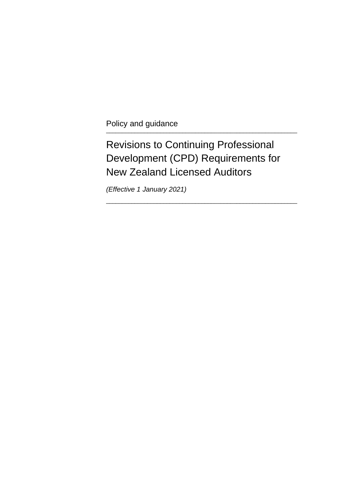Policy and guidance \_\_\_\_\_\_\_\_\_\_\_\_\_\_\_\_\_\_\_\_\_\_\_\_\_\_\_\_\_\_\_\_\_\_\_\_\_\_\_\_\_\_\_\_\_\_\_\_\_\_\_\_\_\_\_\_\_\_\_\_

## Revisions to Continuing Professional Development (CPD) Requirements for New Zealand Licensed Auditors

\_\_\_\_\_\_\_\_\_\_\_\_\_\_\_\_\_\_\_\_\_\_\_\_\_\_\_\_\_\_\_\_\_\_\_\_\_\_\_\_\_\_\_\_\_\_\_\_\_\_\_\_\_\_\_\_\_\_\_\_

*(Effective 1 January 2021)*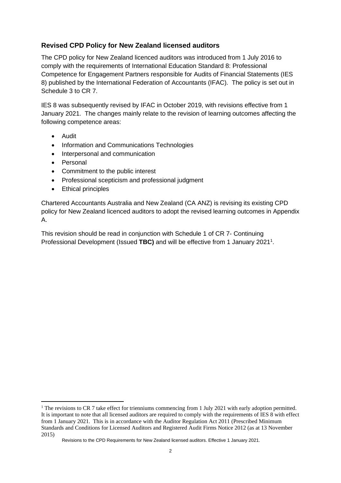## **Revised CPD Policy for New Zealand licensed auditors**

The CPD policy for New Zealand licenced auditors was introduced from 1 July 2016 to comply with the requirements of International Education Standard 8: Professional Competence for Engagement Partners responsible for Audits of Financial Statements (IES 8) published by the International Federation of Accountants (IFAC). The policy is set out in Schedule 3 to CR 7.

IES 8 was subsequently revised by IFAC in October 2019, with revisions effective from 1 January 2021. The changes mainly relate to the revision of learning outcomes affecting the following competence areas:

- Audit
- Information and Communications Technologies
- Interpersonal and communication
- Personal
- Commitment to the public interest
- Professional scepticism and professional judgment
- Ethical principles

Chartered Accountants Australia and New Zealand (CA ANZ) is revising its existing CPD policy for New Zealand licenced auditors to adopt the revised learning outcomes in Appendix A.

This revision should be read in conjunction with Schedule 1 of CR 7- Continuing Professional Development (Issued TBC) and will be effective from 1 January 2021<sup>1</sup>.

<sup>&</sup>lt;sup>1</sup> The revisions to CR 7 take effect for trienniums commencing from 1 July 2021 with early adoption permitted. It is important to note that all licensed auditors are required to comply with the requirements of IES 8 with effect from 1 January 2021. This is in accordance with the Auditor Regulation Act 2011 (Prescribed Minimum Standards and Conditions for Licensed Auditors and Registered Audit Firms Notice 2012 (as at 13 November 2015)

Revisions to the CPD Requirements for New Zealand licensed auditors. Effective 1 January 2021.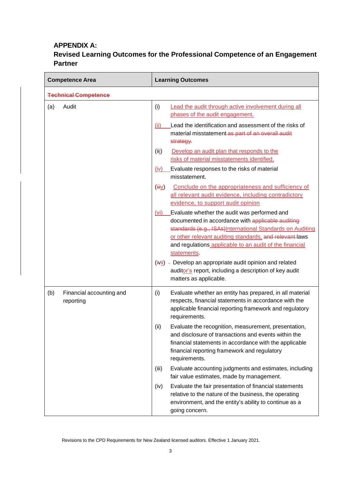## **APPENDIX A:**

## **Revised Learning Outcomes for the Professional Competence of an Engagement Partner**

| <b>Competence Area</b>                       | <b>Learning Outcomes</b>                                                                                                                                                                                                                                                                                     |  |  |  |  |
|----------------------------------------------|--------------------------------------------------------------------------------------------------------------------------------------------------------------------------------------------------------------------------------------------------------------------------------------------------------------|--|--|--|--|
| <b>Technical Competence</b>                  |                                                                                                                                                                                                                                                                                                              |  |  |  |  |
| Audit<br>(a)                                 | (i)<br>Lead the audit through active involvement during all<br>phases of the audit engagement.                                                                                                                                                                                                               |  |  |  |  |
|                                              | Lead the identification and assessment of the risks of<br>(ii)<br>material misstatement as part of an overall audit<br>strategy.                                                                                                                                                                             |  |  |  |  |
|                                              | Develop an audit plan that responds to the<br>(iii)<br>risks of material misstatements identified.                                                                                                                                                                                                           |  |  |  |  |
|                                              | Evaluate responses to the risks of material<br>(iv)<br>misstatement.                                                                                                                                                                                                                                         |  |  |  |  |
|                                              | Conclude on the appropriateness and sufficiency of<br>$(\overline{\mathsf{H}}\underline{\mathsf{V}})$<br>all relevant audit evidence, including contradictory<br>evidence, to support audit opinion                                                                                                          |  |  |  |  |
|                                              | Evaluate whether the audit was performed and<br>(vi)<br>documented in accordance with applicable auditing<br>standards (e.g., ISAs) International Standards on Auditing<br>or other relevant auditing standards, and relevant laws<br>and regulations applicable to an audit of the financial<br>statements. |  |  |  |  |
|                                              | (ivii) - Develop an appropriate audit opinion and related<br>auditor's report, including a description of key audit<br>matters as applicable.                                                                                                                                                                |  |  |  |  |
| (b)<br>Financial accounting and<br>reporting | Evaluate whether an entity has prepared, in all material<br>(i)<br>respects, financial statements in accordance with the<br>applicable financial reporting framework and regulatory<br>requirements.                                                                                                         |  |  |  |  |
|                                              | Evaluate the recognition, measurement, presentation,<br>(ii)<br>and disclosure of transactions and events within the<br>financial statements in accordance with the applicable<br>financial reporting framework and regulatory<br>requirements.                                                              |  |  |  |  |
|                                              | Evaluate accounting judgments and estimates, including<br>(iii)<br>fair value estimates, made by management.                                                                                                                                                                                                 |  |  |  |  |
|                                              | Evaluate the fair presentation of financial statements<br>(iv)<br>relative to the nature of the business, the operating<br>environment, and the entity's ability to continue as a<br>going concern.                                                                                                          |  |  |  |  |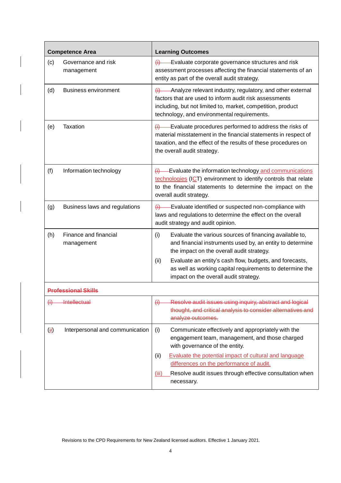| <b>Competence Area</b> |                                     | <b>Learning Outcomes</b>                                                                                                                                                                                                                       |  |  |
|------------------------|-------------------------------------|------------------------------------------------------------------------------------------------------------------------------------------------------------------------------------------------------------------------------------------------|--|--|
| (c)                    | Governance and risk<br>management   | $\overline{H}$ Evaluate corporate governance structures and risk<br>assessment processes affecting the financial statements of an<br>entity as part of the overall audit strategy.                                                             |  |  |
| (d)                    | <b>Business environment</b>         | $(i)$ - Analyze relevant industry, regulatory, and other external<br>factors that are used to inform audit risk assessments<br>including, but not limited to, market, competition, product<br>technology, and environmental requirements.      |  |  |
| (e)                    | Taxation                            | Evaluate procedures performed to address the risks of<br>$\leftrightarrow$<br>material misstatement in the financial statements in respect of<br>taxation, and the effect of the results of these procedures on<br>the overall audit strategy. |  |  |
| (f)                    | Information technology              | $\frac{1}{1}$ - Evaluate the information technology and communications<br>technologies (ICT) environment to identify controls that relate<br>to the financial statements to determine the impact on the<br>overall audit strategy.             |  |  |
| (g)                    | Business laws and regulations       | $\overline{H}$ Evaluate identified or suspected non-compliance with<br>laws and regulations to determine the effect on the overall<br>audit strategy and audit opinion.                                                                        |  |  |
| (h)                    | Finance and financial<br>management | (i)<br>Evaluate the various sources of financing available to,<br>and financial instruments used by, an entity to determine<br>the impact on the overall audit strategy.                                                                       |  |  |
|                        |                                     | Evaluate an entity's cash flow, budgets, and forecasts,<br>(ii)<br>as well as working capital requirements to determine the<br>impact on the overall audit strategy.                                                                           |  |  |
|                        | <b>Professional Skills</b>          |                                                                                                                                                                                                                                                |  |  |
| $\leftrightarrow$      | <b>Intellectual</b>                 | Resolve audit issues using inquiry, abstract and logical<br>$\leftrightarrow$<br>thought, and critical analysis to consider alternatives and<br>analyze outcomes.                                                                              |  |  |
| $(\ddot{H})$           | Interpersonal and communication     | Communicate effectively and appropriately with the<br>(i)<br>engagement team, management, and those charged<br>with governance of the entity.                                                                                                  |  |  |
|                        |                                     | Evaluate the potential impact of cultural and language<br>(ii)<br>differences on the performance of audit.                                                                                                                                     |  |  |
|                        |                                     | Resolve audit issues through effective consultation when<br>(iii)<br>necessary.                                                                                                                                                                |  |  |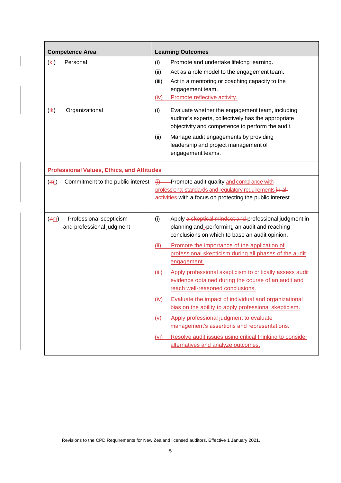| <b>Competence Area</b>                                       |                              | <b>Learning Outcomes</b>                                                                                                                                                                                                                                         |  |  |  |
|--------------------------------------------------------------|------------------------------|------------------------------------------------------------------------------------------------------------------------------------------------------------------------------------------------------------------------------------------------------------------|--|--|--|
| Personal<br>(k)                                              | (i)<br>(ii)<br>(iii)<br>(iv) | Promote and undertake lifelong learning.<br>Act as a role model to the engagement team.<br>Act in a mentoring or coaching capacity to the<br>engagement team.<br>Promote reflective activity.                                                                    |  |  |  |
| $(\frac{4k}{2})$<br>Organizational                           | (i)<br>(ii)                  | Evaluate whether the engagement team, including<br>auditor's experts, collectively has the appropriate<br>objectivity and competence to perform the audit.<br>Manage audit engagements by providing<br>leadership and project management of<br>engagement teams. |  |  |  |
| <b>Professional Values, Ethics, and Attitudes</b>            |                              |                                                                                                                                                                                                                                                                  |  |  |  |
| Commitment to the public interest<br>(m)                     | $\leftrightarrow$            | -Promote audit quality and compliance with<br>professional standards and regulatory requirements in all<br>activities with a focus on protecting the public interest.                                                                                            |  |  |  |
| Professional scepticism<br>(mm)<br>and professional judgment | (i)                          | Apply a skeptical mindset and professional judgment in<br>planning and_-performing an audit and reaching<br>conclusions on which to base an audit opinion.                                                                                                       |  |  |  |
|                                                              | (ii)                         | Promote the importance of the application of<br>professional skepticism during all phases of the audit<br>engagement.                                                                                                                                            |  |  |  |
|                                                              | (iii)                        | Apply professional skepticism to critically assess audit<br>evidence obtained during the course of an audit and<br>reach well-reasoned conclusions.                                                                                                              |  |  |  |
|                                                              | (iv)                         | Evaluate the impact of individual and organizational<br>bias on the ability to apply professional skepticism.                                                                                                                                                    |  |  |  |
|                                                              | (v)                          | Apply professional judgment to evaluate<br>management's assertions and representations.                                                                                                                                                                          |  |  |  |
|                                                              | (vi)                         | Resolve audit issues using critical thinking to consider<br>alternatives and analyze outcomes.                                                                                                                                                                   |  |  |  |